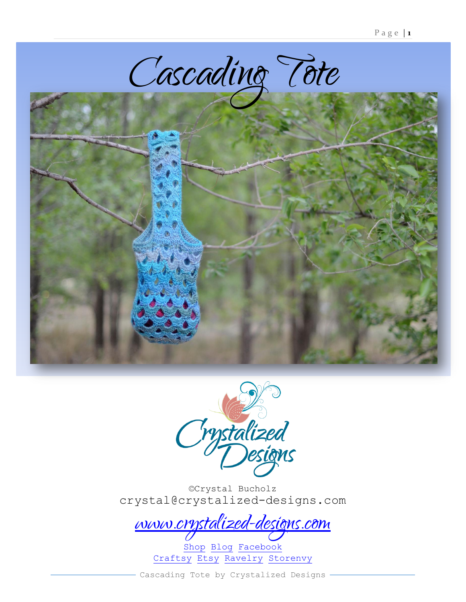





©Crystal Bucholz crystal@crystalized-designs.com

[www.crystalized-designs.com](http://www.crystalized-designs.com/)

[Shop](http://www.crystalized-designs.com/shop/) [Blog](http://www.crystalized-designs.com/blog/) [Facebook](http://www.facebook.com/crystalizeddesignsforyou) [Craftsy](http://www.craftsy.com/user/465652/pattern-store) [Etsy](http://www.etsy.com/shop/CrystalizedDesign) [Ravelry](http://www.ravelry.com/designers/crystalized-designs) [Storenvy](http://crystalizeddesigns.storenvy.com/)

Cascading Tote by Crystalized Designs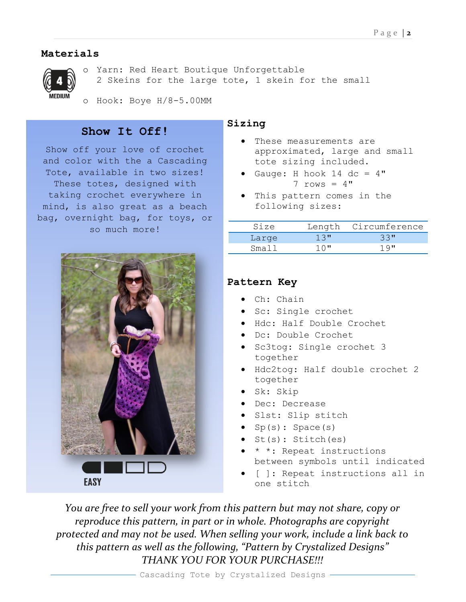# **Materials**



Yarn: Red Heart Boutique Unforgettable 2 Skeins for the large tote, 1 skein for the small

o Hook: Boye H/8-5.00MM

# **Show It Off!**

Show off your love of crochet and color with the a Cascading Tote, available in two sizes! These totes, designed with taking crochet everywhere in mind, is also great as a beach bag, overnight bag, for toys, or so much more!



## **Sizing**

- These measurements are approximated, large and small tote sizing included.
- Gauge: H hook  $14$  dc =  $4"$  $7$  rows =  $4"$
- This pattern comes in the following sizes:

| Size  |         | Length Circumference |
|-------|---------|----------------------|
| Large | $1.3$ " | 33"                  |
| Small | $10$ "  | 19"                  |

# **Pattern Key**

- Ch: Chain
- Sc: Single crochet
- Hdc: Half Double Crochet
- Dc: Double Crochet
- Sc3tog: Single crochet 3 together
- Hdc2tog: Half double crochet 2 together
- Sk: Skip
- Dec: Decrease
- Slst: Slip stitch
- $\bullet$  Sp(s): Space(s)
- $\bullet$  St(s): Stitch(es)
- \* \*: Repeat instructions between symbols until indicated
- [ ]: Repeat instructions all in one stitch

*You are free to sell your work from this pattern but may not share, copy or reproduce this pattern, in part or in whole. Photographs are copyright protected and may not be used. When selling your work, include a link back to this pattern as well as the following, "Pattern by Crystalized Designs" THANK YOU FOR YOUR PURCHASE!!!*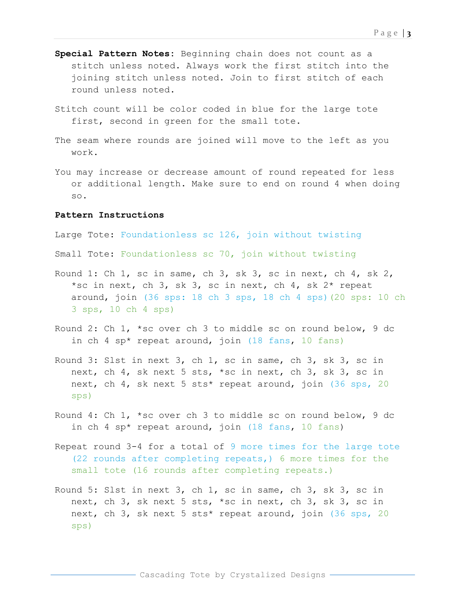- **Special Pattern Notes:** Beginning chain does not count as a stitch unless noted. Always work the first stitch into the joining stitch unless noted. Join to first stitch of each round unless noted.
- Stitch count will be color coded in blue for the large tote first, second in green for the small tote.
- The seam where rounds are joined will move to the left as you work.
- You may increase or decrease amount of round repeated for less or additional length. Make sure to end on round 4 when doing so.

#### **Pattern Instructions**

Large Tote: Foundationless sc 126, join without twisting

Small Tote: Foundationless sc 70, join without twisting

- Round 1: Ch 1, sc in same, ch 3, sk 3, sc in next, ch 4, sk 2, \*sc in next, ch 3, sk 3, sc in next, ch 4, sk 2\* repeat around, join (36 sps: 18 ch 3 sps, 18 ch 4 sps)(20 sps: 10 ch 3 sps, 10 ch 4 sps)
- Round 2: Ch 1, \*sc over ch 3 to middle sc on round below, 9 dc in ch 4 sp\* repeat around, join (18 fans, 10 fans)
- Round 3: Slst in next 3, ch 1, sc in same, ch 3, sk 3, sc in next, ch 4, sk next 5 sts, \*sc in next, ch 3, sk 3, sc in next, ch 4, sk next 5 sts\* repeat around, join (36 sps, 20 sps)
- Round 4: Ch 1, \*sc over ch 3 to middle sc on round below, 9 dc in ch 4 sp\* repeat around, join (18 fans, 10 fans)
- Repeat round 3-4 for a total of 9 more times for the large tote (22 rounds after completing repeats,) 6 more times for the small tote (16 rounds after completing repeats.)
- Round 5: Slst in next 3, ch 1, sc in same, ch 3, sk 3, sc in next, ch 3, sk next 5 sts, \*sc in next, ch 3, sk 3, sc in next, ch 3, sk next 5 sts\* repeat around, join (36 sps, 20 sps)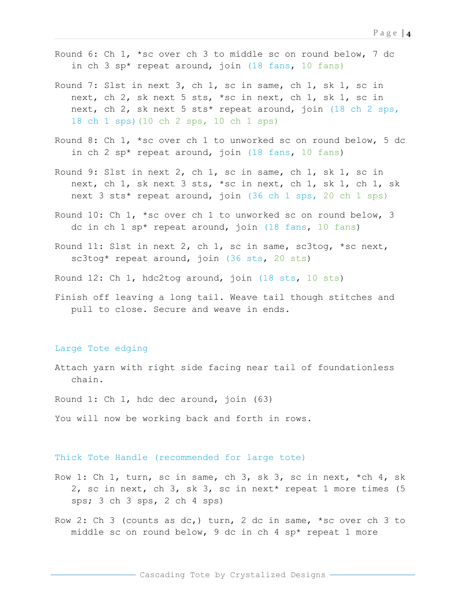- Round 6: Ch 1, \*sc over ch 3 to middle sc on round below, 7 dc in ch 3 sp\* repeat around, join (18 fans, 10 fans)
- Round 7: Slst in next 3, ch 1, sc in same, ch 1, sk 1, sc in next, ch 2, sk next 5 sts, \*sc in next, ch 1, sk 1, sc in next, ch 2, sk next 5 sts\* repeat around, join (18 ch 2 sps, 18 ch 1 sps)(10 ch 2 sps, 10 ch 1 sps)
- Round 8: Ch 1, \*sc over ch 1 to unworked sc on round below, 5 dc in ch 2 sp\* repeat around, join (18 fans, 10 fans)
- Round 9: Slst in next 2, ch 1, sc in same, ch 1, sk 1, sc in next, ch 1, sk next 3 sts, \*sc in next, ch 1, sk 1, ch 1, sk next 3 sts\* repeat around, join (36 ch 1 sps, 20 ch 1 sps)
- Round 10: Ch 1, \*sc over ch 1 to unworked sc on round below, 3 dc in ch 1 sp\* repeat around, join (18 fans, 10 fans)
- Round 11: Slst in next 2, ch 1, sc in same, sc3tog, \*sc next, sc3tog\* repeat around, join (36 sts, 20 sts)
- Round 12: Ch 1, hdc2tog around, join (18 sts, 10 sts)
- Finish off leaving a long tail. Weave tail though stitches and pull to close. Secure and weave in ends.

#### Large Tote edging

Attach yarn with right side facing near tail of foundationless chain.

Round 1: Ch 1, hdc dec around, join (63)

You will now be working back and forth in rows.

#### Thick Tote Handle (recommended for large tote)

- Row 1: Ch 1, turn, sc in same, ch 3, sk 3, sc in next,  $*$ ch 4, sk 2, sc in next, ch 3, sk 3, sc in next\* repeat 1 more times (5 sps; 3 ch 3 sps, 2 ch 4 sps)
- Row 2: Ch 3 (counts as dc,) turn, 2 dc in same, \*sc over ch 3 to middle sc on round below, 9 dc in ch 4 sp\* repeat 1 more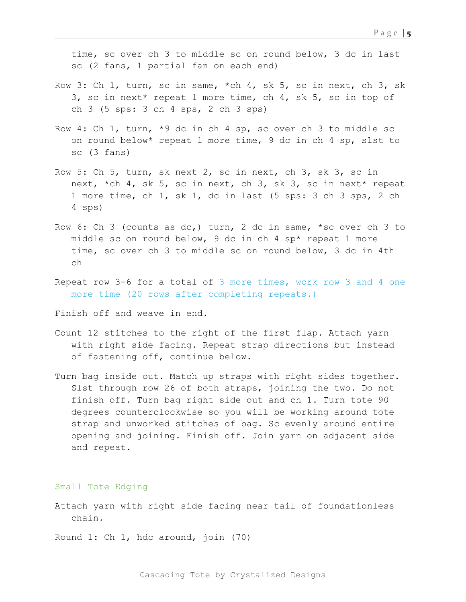time, sc over ch 3 to middle sc on round below, 3 dc in last sc (2 fans, 1 partial fan on each end)

- Row 3: Ch 1, turn, sc in same,  $\star$ ch 4, sk 5, sc in next, ch 3, sk 3, sc in next\* repeat 1 more time, ch 4, sk 5, sc in top of ch 3 (5 sps: 3 ch 4 sps, 2 ch 3 sps)
- Row 4: Ch 1, turn, \*9 dc in ch 4 sp, sc over ch 3 to middle sc on round below\* repeat 1 more time, 9 dc in ch 4 sp, slst to sc (3 fans)
- Row 5: Ch 5, turn, sk next 2, sc in next, ch 3, sk 3, sc in next, \*ch 4, sk 5, sc in next, ch 3, sk 3, sc in next\* repeat 1 more time, ch 1, sk 1, dc in last (5 sps: 3 ch 3 sps, 2 ch 4 sps)
- Row 6: Ch 3 (counts as dc,) turn, 2 dc in same, \*sc over ch 3 to middle sc on round below, 9 dc in ch 4 sp\* repeat 1 more time, sc over ch 3 to middle sc on round below, 3 dc in 4th ch
- Repeat row 3-6 for a total of 3 more times, work row 3 and 4 one more time (20 rows after completing repeats.)

Finish off and weave in end.

- Count 12 stitches to the right of the first flap. Attach yarn with right side facing. Repeat strap directions but instead of fastening off, continue below.
- Turn bag inside out. Match up straps with right sides together. Slst through row 26 of both straps, joining the two. Do not finish off. Turn bag right side out and ch 1. Turn tote 90 degrees counterclockwise so you will be working around tote strap and unworked stitches of bag. Sc evenly around entire opening and joining. Finish off. Join yarn on adjacent side and repeat.

Small Tote Edging

Attach yarn with right side facing near tail of foundationless chain.

Round 1: Ch 1, hdc around, join (70)